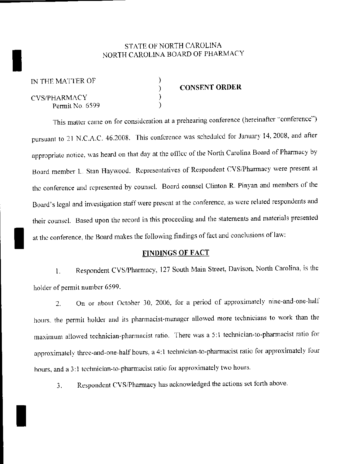## STATE OF NORTH CAROLINA<br>INORTH CAROLINA BOARD OF PHARE NORTH CAROLINA BOARD OF PHARMACY

) )  $\overline{\phantom{a}}$ 

CYS/PHARMACY Permit No. 6599

I

## CONSENT ORDER

This matter came on for consideration at a prehearing conference (hereinafter "conference") pursuant to 21 N.C.A.C. 46.2008. This conference was scheduled for January 14, 2008, and after appropriate notice, was heard on that day at the office of the North Carolina Board of Pharmacy by Board member L. Stan Haywood. Representatives of Respondent CVS/Pharmacy were present at the conference and represented by counsel. Board counsel Clinton R. Pinyan and members of the Board's legal and investigation staff were present at the conference, as were related respondents and their counsel. Based upon the record in this proceeding and the statements and materials presented<br>at the conference, the Board makes the following findings of fact and conclusions of law:

## FINDINGS OF FACT

1. Respondent CVS/Pharmacy, 127 South Main Street, Davison, North Carolina, is the holder of permit number 6599.

2. On or about October 30. 2006, for a period of approximately nine-and-one-half hours. the permit holder and its pharmacist-manager allowed more technicians to work than the maximum allowed technician-pharmacist ratio. There was a 5:1 technician-to-pharmacist ratio for approximately three-and-one-half hours, a 4:1 technician-to-pharmacist ratio for approximately four hours, and a 3:1 technician-to-pharmacist ratio for approximately two hours.

3. Respondent CVS/Pharmacy has acknowledged the actions set forth above.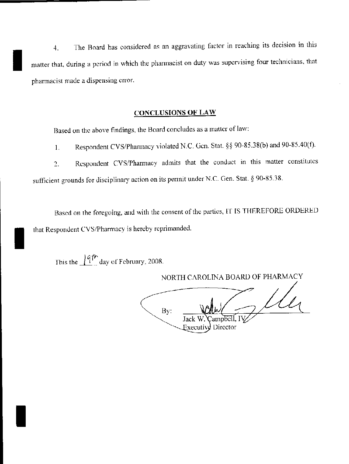The Board has considered as an aggravating factor in reaching its decision in this 4. matter that, during a period in which the pharmacist on duty was supervising four technicians, that pharmacist made a dispensing error.

## **CONCLUSIONS OF LAW**

Based on the above findings, the Board concludes as a matter of law:

Respondent CVS/Pharmacy violated N.C. Gen. Stat. §§ 90-85.38(b) and 90-85.40(f).  $1<sub>1</sub>$ 

Respondent CVS/Pharmacy admits that the conduct in this matter constitutes  $2.$ sufficient grounds for disciplinary action on its permit under N.C. Gen. Stat. § 90-85.38.

Based on the foregoing, and with the consent of the parties, IT IS THEREFORE ORDERED that Respondent CVS/Pharmacy is hereby reprimanded.

This the  $\frac{1}{4}$ <sup>th</sup> day of February, 2008.

NORTH CAROLINA BOARD OF PHARMACY By: Jack \ ampbell. l Executive Director